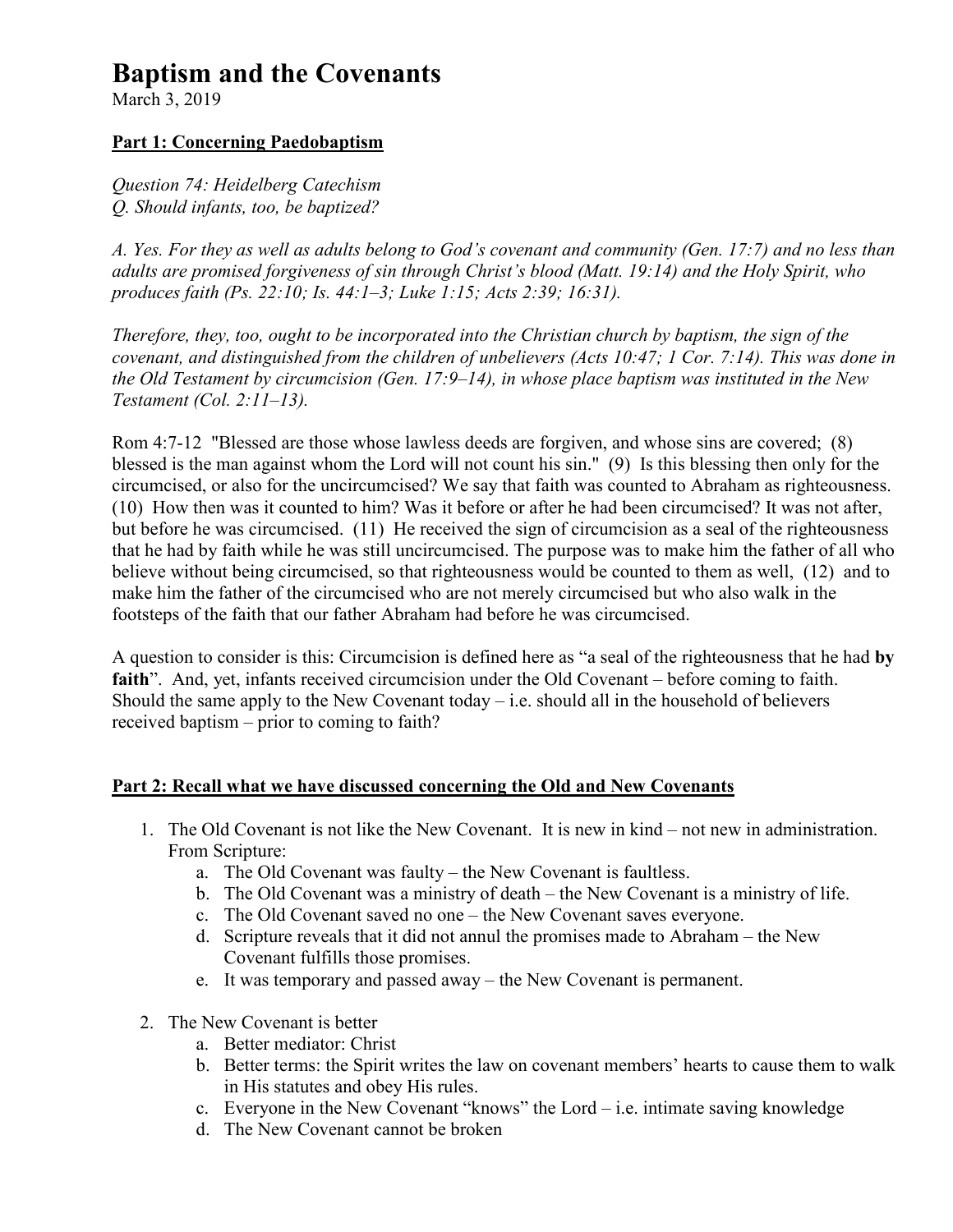# **Baptism and the Covenants**

March 3, 2019

## **Part 1: Concerning Paedobaptism**

*Question 74: Heidelberg Catechism Q. Should infants, too, be baptized?* 

*A. Yes. For they as well as adults belong to God's covenant and community (Gen. 17:7) and no less than adults are promised forgiveness of sin through Christ's blood (Matt. 19:14) and the Holy Spirit, who produces faith (Ps. 22:10; Is. 44:1–3; Luke 1:15; Acts 2:39; 16:31).* 

*Therefore, they, too, ought to be incorporated into the Christian church by baptism, the sign of the covenant, and distinguished from the children of unbelievers (Acts 10:47; 1 Cor. 7:14). This was done in the Old Testament by circumcision (Gen. 17:9–14), in whose place baptism was instituted in the New Testament (Col. 2:11–13).* 

Rom 4:7-12 "Blessed are those whose lawless deeds are forgiven, and whose sins are covered; (8) blessed is the man against whom the Lord will not count his sin." (9) Is this blessing then only for the circumcised, or also for the uncircumcised? We say that faith was counted to Abraham as righteousness. (10) How then was it counted to him? Was it before or after he had been circumcised? It was not after, but before he was circumcised. (11) He received the sign of circumcision as a seal of the righteousness that he had by faith while he was still uncircumcised. The purpose was to make him the father of all who believe without being circumcised, so that righteousness would be counted to them as well, (12) and to make him the father of the circumcised who are not merely circumcised but who also walk in the footsteps of the faith that our father Abraham had before he was circumcised.

A question to consider is this: Circumcision is defined here as "a seal of the righteousness that he had **by faith**". And, yet, infants received circumcision under the Old Covenant – before coming to faith. Should the same apply to the New Covenant today  $-$  i.e. should all in the household of believers received baptism – prior to coming to faith?

#### **Part 2: Recall what we have discussed concerning the Old and New Covenants**

- 1. The Old Covenant is not like the New Covenant. It is new in kind not new in administration. From Scripture:
	- a. The Old Covenant was faulty the New Covenant is faultless.
	- b. The Old Covenant was a ministry of death the New Covenant is a ministry of life.
	- c. The Old Covenant saved no one the New Covenant saves everyone.
	- d. Scripture reveals that it did not annul the promises made to Abraham the New Covenant fulfills those promises.
	- e. It was temporary and passed away the New Covenant is permanent.
- 2. The New Covenant is better
	- a. Better mediator: Christ
	- b. Better terms: the Spirit writes the law on covenant members' hearts to cause them to walk in His statutes and obey His rules.
	- c. Everyone in the New Covenant "knows" the Lord  $-$  i.e. intimate saving knowledge
	- d. The New Covenant cannot be broken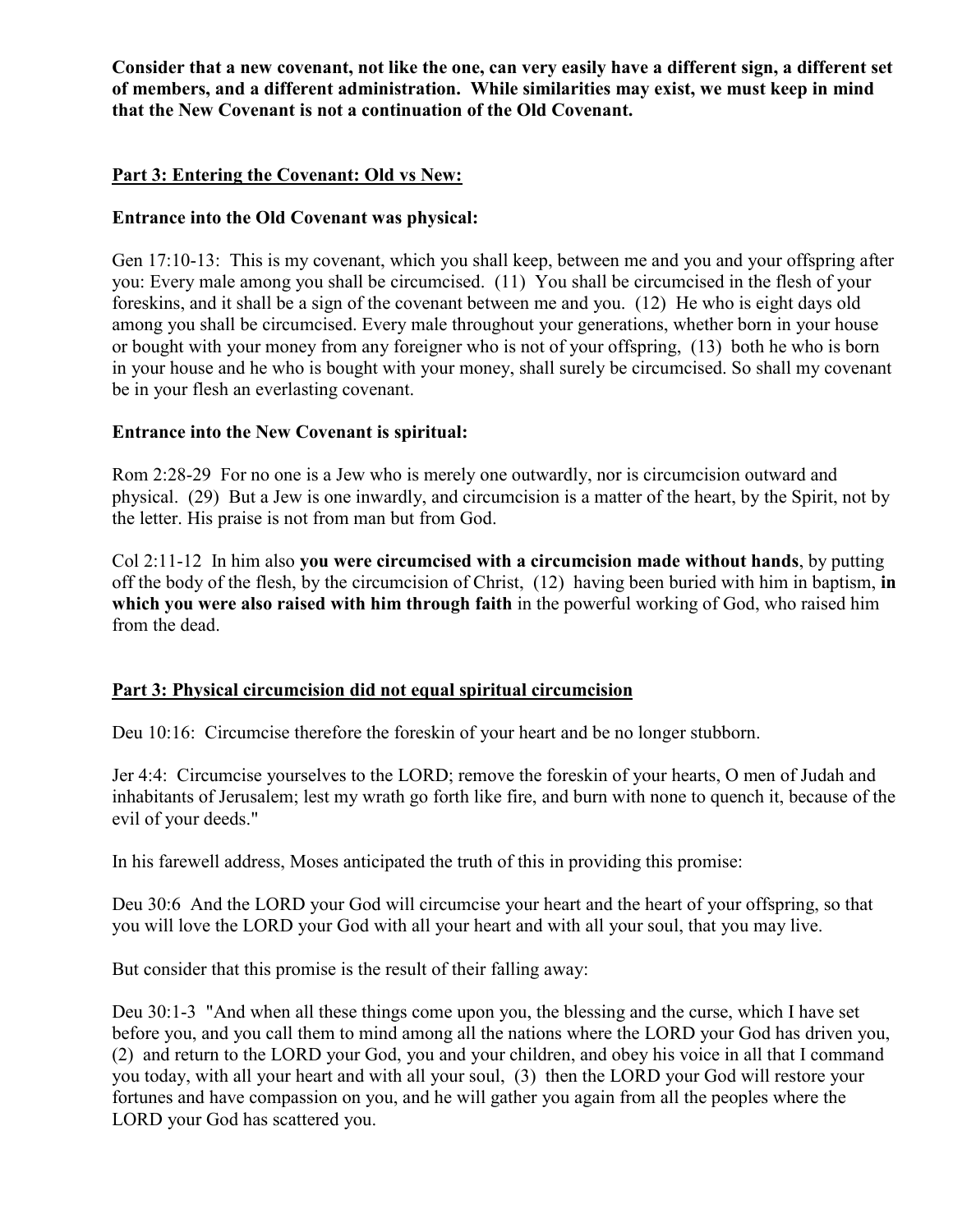**Consider that a new covenant, not like the one, can very easily have a different sign, a different set of members, and a different administration. While similarities may exist, we must keep in mind that the New Covenant is not a continuation of the Old Covenant.** 

#### **Part 3: Entering the Covenant: Old vs New:**

#### **Entrance into the Old Covenant was physical:**

Gen 17:10-13: This is my covenant, which you shall keep, between me and you and your offspring after you: Every male among you shall be circumcised. (11) You shall be circumcised in the flesh of your foreskins, and it shall be a sign of the covenant between me and you. (12) He who is eight days old among you shall be circumcised. Every male throughout your generations, whether born in your house or bought with your money from any foreigner who is not of your offspring, (13) both he who is born in your house and he who is bought with your money, shall surely be circumcised. So shall my covenant be in your flesh an everlasting covenant.

#### **Entrance into the New Covenant is spiritual:**

Rom 2:28-29 For no one is a Jew who is merely one outwardly, nor is circumcision outward and physical. (29) But a Jew is one inwardly, and circumcision is a matter of the heart, by the Spirit, not by the letter. His praise is not from man but from God.

Col 2:11-12 In him also **you were circumcised with a circumcision made without hands**, by putting off the body of the flesh, by the circumcision of Christ, (12) having been buried with him in baptism, **in which you were also raised with him through faith** in the powerful working of God, who raised him from the dead.

#### **Part 3: Physical circumcision did not equal spiritual circumcision**

Deu 10:16: Circumcise therefore the foreskin of your heart and be no longer stubborn.

Jer 4:4: Circumcise yourselves to the LORD; remove the foreskin of your hearts, O men of Judah and inhabitants of Jerusalem; lest my wrath go forth like fire, and burn with none to quench it, because of the evil of your deeds."

In his farewell address, Moses anticipated the truth of this in providing this promise:

Deu 30:6 And the LORD your God will circumcise your heart and the heart of your offspring, so that you will love the LORD your God with all your heart and with all your soul, that you may live.

But consider that this promise is the result of their falling away:

Deu 30:1-3 "And when all these things come upon you, the blessing and the curse, which I have set before you, and you call them to mind among all the nations where the LORD your God has driven you, (2) and return to the LORD your God, you and your children, and obey his voice in all that I command you today, with all your heart and with all your soul, (3) then the LORD your God will restore your fortunes and have compassion on you, and he will gather you again from all the peoples where the LORD your God has scattered you.